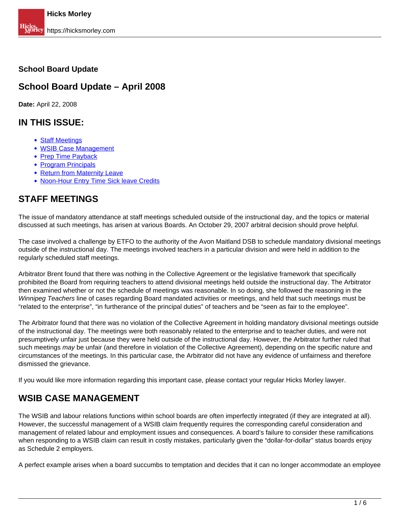#### **School Board Update**

#### **School Board Update – April 2008**

**Date:** April 22, 2008

#### **IN THIS ISSUE:**

- Staff Meetings
- WSIB Case Management
- Prep Time Payback
- Program Principals
- Return from Maternity Leave
- Noon-Hour Entry Time Sick leave Credits

#### **STAFF MEETINGS**

The issue of mandatory attendance at staff meetings scheduled outside of the instructional day, and the topics or material discussed at such meetings, has arisen at various Boards. An October 29, 2007 arbitral decision should prove helpful.

The case involved a challenge by ETFO to the authority of the Avon Maitland DSB to schedule mandatory divisional meetings outside of the instructional day. The meetings involved teachers in a particular division and were held in addition to the regularly scheduled staff meetings.

Arbitrator Brent found that there was nothing in the Collective Agreement or the legislative framework that specifically prohibited the Board from requiring teachers to attend divisional meetings held outside the instructional day. The Arbitrator then examined whether or not the schedule of meetings was reasonable. In so doing, she followed the reasoning in the Winnipeg Teachers line of cases regarding Board mandated activities or meetings, and held that such meetings must be "related to the enterprise", "in furtherance of the principal duties" of teachers and be "seen as fair to the employee".

The Arbitrator found that there was no violation of the Collective Agreement in holding mandatory divisional meetings outside of the instructional day. The meetings were both reasonably related to the enterprise and to teacher duties, and were not presumptively unfair just because they were held outside of the instructional day. However, the Arbitrator further ruled that such meetings may be unfair (and therefore in violation of the Collective Agreement), depending on the specific nature and circumstances of the meetings. In this particular case, the Arbitrator did not have any evidence of unfairness and therefore dismissed the grievance.

If you would like more information regarding this important case, please contact your regular Hicks Morley lawyer.

#### **WSIB CASE MANAGEMENT**

The WSIB and labour relations functions within school boards are often imperfectly integrated (if they are integrated at all). However, the successful management of a WSIB claim frequently requires the corresponding careful consideration and management of related labour and employment issues and consequences. A board's failure to consider these ramifications when responding to a WSIB claim can result in costly mistakes, particularly given the "dollar-for-dollar" status boards enjoy as Schedule 2 employers.

A perfect example arises when a board succumbs to temptation and decides that it can no longer accommodate an employee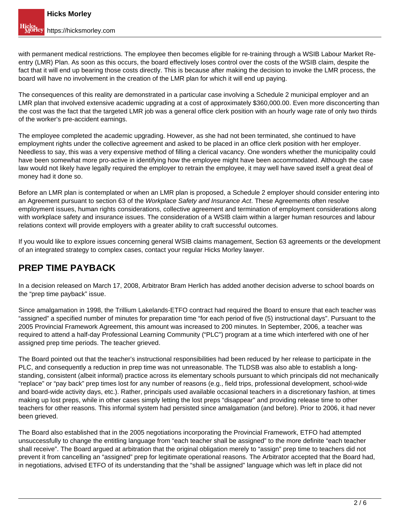with permanent medical restrictions. The employee then becomes eligible for re-training through a WSIB Labour Market Reentry (LMR) Plan. As soon as this occurs, the board effectively loses control over the costs of the WSIB claim, despite the fact that it will end up bearing those costs directly. This is because after making the decision to invoke the LMR process, the board will have no involvement in the creation of the LMR plan for which it will end up paying.

The consequences of this reality are demonstrated in a particular case involving a Schedule 2 municipal employer and an LMR plan that involved extensive academic upgrading at a cost of approximately \$360,000.00. Even more disconcerting than the cost was the fact that the targeted LMR job was a general office clerk position with an hourly wage rate of only two thirds of the worker's pre-accident earnings.

The employee completed the academic upgrading. However, as she had not been terminated, she continued to have employment rights under the collective agreement and asked to be placed in an office clerk position with her employer. Needless to say, this was a very expensive method of filling a clerical vacancy. One wonders whether the municipality could have been somewhat more pro-active in identifying how the employee might have been accommodated. Although the case law would not likely have legally required the employer to retrain the employee, it may well have saved itself a great deal of money had it done so.

Before an LMR plan is contemplated or when an LMR plan is proposed, a Schedule 2 employer should consider entering into an Agreement pursuant to section 63 of the Workplace Safety and Insurance Act. These Agreements often resolve employment issues, human rights considerations, collective agreement and termination of employment considerations along with workplace safety and insurance issues. The consideration of a WSIB claim within a larger human resources and labour relations context will provide employers with a greater ability to craft successful outcomes.

If you would like to explore issues concerning general WSIB claims management, Section 63 agreements or the development of an integrated strategy to complex cases, contact your regular Hicks Morley lawyer.

### **PREP TIME PAYBACK**

In a decision released on March 17, 2008, Arbitrator Bram Herlich has added another decision adverse to school boards on the "prep time payback" issue.

Since amalgamation in 1998, the Trillium Lakelands-ETFO contract had required the Board to ensure that each teacher was "assigned" a specified number of minutes for preparation time "for each period of five (5) instructional days". Pursuant to the 2005 Provincial Framework Agreement, this amount was increased to 200 minutes. In September, 2006, a teacher was required to attend a half-day Professional Learning Community ("PLC") program at a time which interfered with one of her assigned prep time periods. The teacher grieved.

The Board pointed out that the teacher's instructional responsibilities had been reduced by her release to participate in the PLC, and consequently a reduction in prep time was not unreasonable. The TLDSB was also able to establish a longstanding, consistent (albeit informal) practice across its elementary schools pursuant to which principals did not mechanically "replace" or "pay back" prep times lost for any number of reasons (e.g., field trips, professional development, school-wide and board-wide activity days, etc.). Rather, principals used available occasional teachers in a discretionary fashion, at times making up lost preps, while in other cases simply letting the lost preps "disappear" and providing release time to other teachers for other reasons. This informal system had persisted since amalgamation (and before). Prior to 2006, it had never been grieved.

The Board also established that in the 2005 negotiations incorporating the Provincial Framework, ETFO had attempted unsuccessfully to change the entitling language from "each teacher shall be assigned" to the more definite "each teacher shall receive". The Board argued at arbitration that the original obligation merely to "assign" prep time to teachers did not prevent it from cancelling an "assigned" prep for legitimate operational reasons. The Arbitrator accepted that the Board had, in negotiations, advised ETFO of its understanding that the "shall be assigned" language which was left in place did not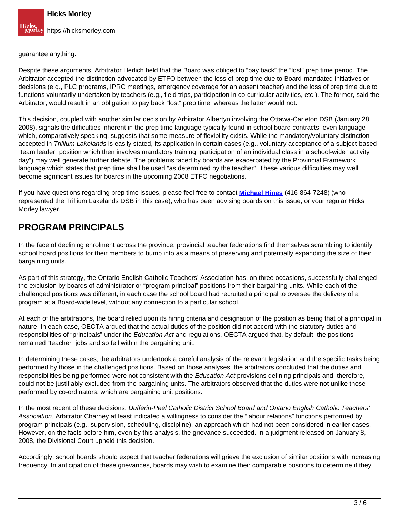guarantee anything.

Despite these arguments, Arbitrator Herlich held that the Board was obliged to "pay back" the "lost" prep time period. The Arbitrator accepted the distinction advocated by ETFO between the loss of prep time due to Board-mandated initiatives or decisions (e.g., PLC programs, IPRC meetings, emergency coverage for an absent teacher) and the loss of prep time due to functions voluntarily undertaken by teachers (e.g., field trips, participation in co-curricular activities, etc.). The former, said the Arbitrator, would result in an obligation to pay back "lost" prep time, whereas the latter would not.

This decision, coupled with another similar decision by Arbitrator Albertyn involving the Ottawa-Carleton DSB (January 28, 2008), signals the difficulties inherent in the prep time language typically found in school board contracts, even language which, comparatively speaking, suggests that some measure of flexibility exists. While the mandatory/voluntary distinction accepted in Trillium Lakelands is easily stated, its application in certain cases (e.g., voluntary acceptance of a subject-based "team leader" position which then involves mandatory training, participation of an individual class in a school-wide "activity day") may well generate further debate. The problems faced by boards are exacerbated by the Provincial Framework language which states that prep time shall be used "as determined by the teacher". These various difficulties may well become significant issues for boards in the upcoming 2008 ETFO negotiations.

If you have questions regarding prep time issues, please feel free to contact **Michael Hines** (416-864-7248) (who represented the Trillium Lakelands DSB in this case), who has been advising boards on this issue, or your regular Hicks Morley lawyer.

# **PROGRAM PRINCIPALS**

In the face of declining enrolment across the province, provincial teacher federations find themselves scrambling to identify school board positions for their members to bump into as a means of preserving and potentially expanding the size of their bargaining units.

As part of this strategy, the Ontario English Catholic Teachers' Association has, on three occasions, successfully challenged the exclusion by boards of administrator or "program principal" positions from their bargaining units. While each of the challenged positions was different, in each case the school board had recruited a principal to oversee the delivery of a program at a Board-wide level, without any connection to a particular school.

At each of the arbitrations, the board relied upon its hiring criteria and designation of the position as being that of a principal in nature. In each case, OECTA argued that the actual duties of the position did not accord with the statutory duties and responsibilities of "principals" under the *Education Act* and regulations. OECTA argued that, by default, the positions remained "teacher" jobs and so fell within the bargaining unit.

In determining these cases, the arbitrators undertook a careful analysis of the relevant legislation and the specific tasks being performed by those in the challenged positions. Based on those analyses, the arbitrators concluded that the duties and responsibilities being performed were not consistent with the Education Act provisions defining principals and, therefore, could not be justifiably excluded from the bargaining units. The arbitrators observed that the duties were not unlike those performed by co-ordinators, which are bargaining unit positions.

In the most recent of these decisions, Dufferin-Peel Catholic District School Board and Ontario English Catholic Teachers' Association, Arbitrator Charney at least indicated a willingness to consider the "labour relations" functions performed by program principals (e.g., supervision, scheduling, discipline), an approach which had not been considered in earlier cases. However, on the facts before him, even by this analysis, the grievance succeeded. In a judgment released on January 8, 2008, the Divisional Court upheld this decision.

Accordingly, school boards should expect that teacher federations will grieve the exclusion of similar positions with increasing frequency. In anticipation of these grievances, boards may wish to examine their comparable positions to determine if they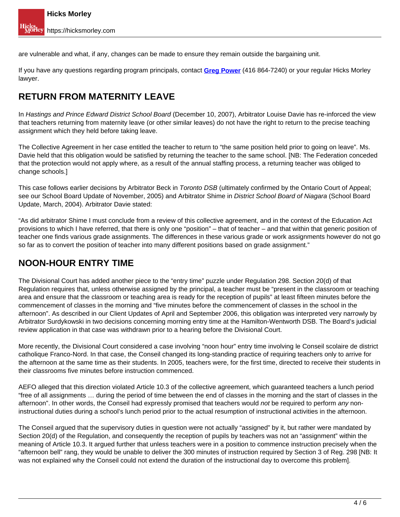are vulnerable and what, if any, changes can be made to ensure they remain outside the bargaining unit.

If you have any questions regarding program principals, contact **Greg Power** (416 864-7240) or your regular Hicks Morley lawyer.

# **RETURN FROM MATERNITY LEAVE**

In Hastings and Prince Edward District School Board (December 10, 2007), Arbitrator Louise Davie has re-inforced the view that teachers returning from maternity leave (or other similar leaves) do not have the right to return to the precise teaching assignment which they held before taking leave.

The Collective Agreement in her case entitled the teacher to return to "the same position held prior to going on leave". Ms. Davie held that this obligation would be satisfied by returning the teacher to the same school. [NB: The Federation conceded that the protection would not apply where, as a result of the annual staffing process, a returning teacher was obliged to change schools.]

This case follows earlier decisions by Arbitrator Beck in Toronto DSB (ultimately confirmed by the Ontario Court of Appeal; see our School Board Update of November, 2005) and Arbitrator Shime in District School Board of Niagara (School Board Update, March, 2004). Arbitrator Davie stated:

"As did arbitrator Shime I must conclude from a review of this collective agreement, and in the context of the Education Act provisions to which I have referred, that there is only one "position" – that of teacher – and that within that generic position of teacher one finds various grade assignments. The differences in these various grade or work assignments however do not go so far as to convert the position of teacher into many different positions based on grade assignment."

## **NOON-HOUR ENTRY TIME**

The Divisional Court has added another piece to the "entry time" puzzle under Regulation 298. Section 20(d) of that Regulation requires that, unless otherwise assigned by the principal, a teacher must be "present in the classroom or teaching area and ensure that the classroom or teaching area is ready for the reception of pupils" at least fifteen minutes before the commencement of classes in the morning and "five minutes before the commencement of classes in the school in the afternoon". As described in our Client Updates of April and September 2006, this obligation was interpreted very narrowly by Arbitrator Surdykowski in two decisions concerning morning entry time at the Hamilton-Wentworth DSB. The Board's judicial review application in that case was withdrawn prior to a hearing before the Divisional Court.

More recently, the Divisional Court considered a case involving "noon hour" entry time involving le Conseil scolaire de district catholique Franco-Nord. In that case, the Conseil changed its long-standing practice of requiring teachers only to arrive for the afternoon at the same time as their students. In 2005, teachers were, for the first time, directed to receive their students in their classrooms five minutes before instruction commenced.

AEFO alleged that this direction violated Article 10.3 of the collective agreement, which guaranteed teachers a lunch period "free of all assignments … during the period of time between the end of classes in the morning and the start of classes in the afternoon". In other words, the Conseil had expressly promised that teachers would not be required to perform any noninstructional duties during a school's lunch period prior to the actual resumption of instructional activities in the afternoon.

The Conseil argued that the supervisory duties in question were not actually "assigned" by it, but rather were mandated by Section 20(d) of the Regulation, and consequently the reception of pupils by teachers was not an "assignment" within the meaning of Article 10.3. It argued further that unless teachers were in a position to commence instruction precisely when the "afternoon bell" rang, they would be unable to deliver the 300 minutes of instruction required by Section 3 of Reg. 298 [NB: It was not explained why the Conseil could not extend the duration of the instructional day to overcome this problem].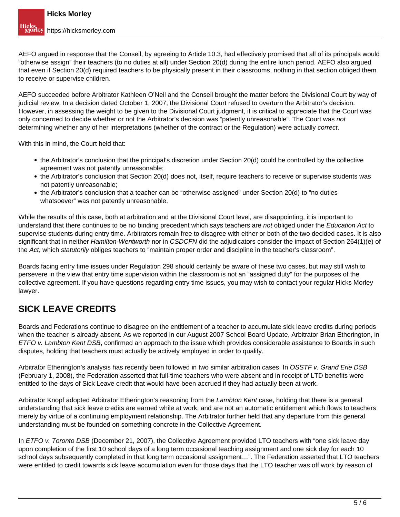AEFO argued in response that the Conseil, by agreeing to Article 10.3, had effectively promised that all of its principals would "otherwise assign" their teachers (to no duties at all) under Section 20(d) during the entire lunch period. AEFO also argued that even if Section 20(d) required teachers to be physically present in their classrooms, nothing in that section obliged them to receive or supervise children.

AEFO succeeded before Arbitrator Kathleen O'Neil and the Conseil brought the matter before the Divisional Court by way of judicial review. In a decision dated October 1, 2007, the Divisional Court refused to overturn the Arbitrator's decision. However, in assessing the weight to be given to the Divisional Court judgment, it is critical to appreciate that the Court was only concerned to decide whether or not the Arbitrator's decision was "patently unreasonable". The Court was not determining whether any of her interpretations (whether of the contract or the Regulation) were actually correct.

With this in mind, the Court held that:

- the Arbitrator's conclusion that the principal's discretion under Section 20(d) could be controlled by the collective agreement was not patently unreasonable;
- the Arbitrator's conclusion that Section 20(d) does not, itself, require teachers to receive or supervise students was not patently unreasonable;
- the Arbitrator's conclusion that a teacher can be "otherwise assigned" under Section 20(d) to "no duties whatsoever" was not patently unreasonable.

While the results of this case, both at arbitration and at the Divisional Court level, are disappointing, it is important to understand that there continues to be no binding precedent which says teachers are not obliged under the Education Act to supervise students during entry time. Arbitrators remain free to disagree with either or both of the two decided cases. It is also significant that in neither Hamilton-Wentworth nor in CSDCFN did the adjudicators consider the impact of Section 264(1)(e) of the Act, which statutorily obliges teachers to "maintain proper order and discipline in the teacher's classroom".

Boards facing entry time issues under Regulation 298 should certainly be aware of these two cases, but may still wish to persevere in the view that entry time supervision within the classroom is not an "assigned duty" for the purposes of the collective agreement. If you have questions regarding entry time issues, you may wish to contact your regular Hicks Morley lawyer.

### **SICK LEAVE CREDITS**

Boards and Federations continue to disagree on the entitlement of a teacher to accumulate sick leave credits during periods when the teacher is already absent. As we reported in our August 2007 School Board Update, Arbitrator Brian Etherington, in ETFO v. Lambton Kent DSB, confirmed an approach to the issue which provides considerable assistance to Boards in such disputes, holding that teachers must actually be actively employed in order to qualify.

Arbitrator Etherington's analysis has recently been followed in two similar arbitration cases. In OSSTF v. Grand Erie DSB (February 1, 2008), the Federation asserted that full-time teachers who were absent and in receipt of LTD benefits were entitled to the days of Sick Leave credit that would have been accrued if they had actually been at work.

Arbitrator Knopf adopted Arbitrator Etherington's reasoning from the Lambton Kent case, holding that there is a general understanding that sick leave credits are earned while at work, and are not an automatic entitlement which flows to teachers merely by virtue of a continuing employment relationship. The Arbitrator further held that any departure from this general understanding must be founded on something concrete in the Collective Agreement.

In ETFO v. Toronto DSB (December 21, 2007), the Collective Agreement provided LTO teachers with "one sick leave day upon completion of the first 10 school days of a long term occasional teaching assignment and one sick day for each 10 school days subsequently completed in that long term occasional assignment…". The Federation asserted that LTO teachers were entitled to credit towards sick leave accumulation even for those days that the LTO teacher was off work by reason of